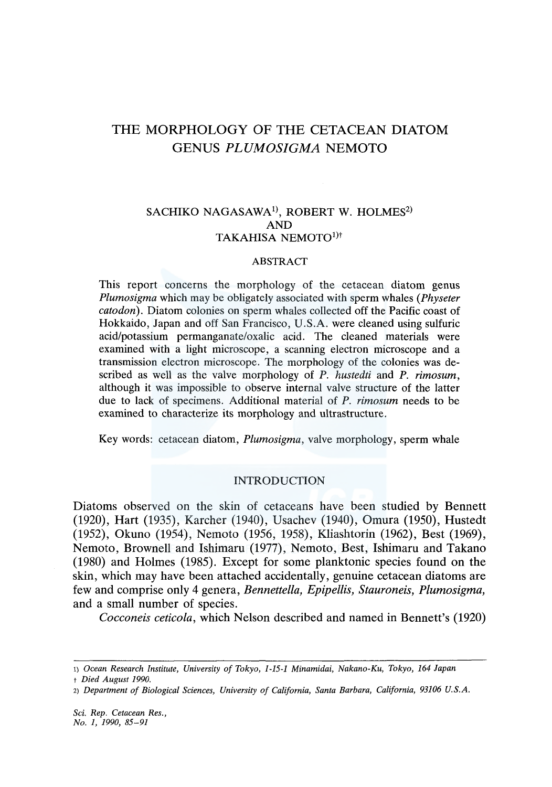# THE MORPHOLOGY OF THE CETACEAN DIATOM GENUS *PLUMOSIGMA* NEMOTO

## SACHIKO NAGASAWA<sup>1)</sup>, ROBERT W. HOLMES<sup>2)</sup> AND TAKAHISA NEMOTO<sup>1)†</sup>

## ABSTRACT

This report concerns the morphology of the cetacean diatom genus *Plumosigma* which may be obligately associated with sperm whales *(Physeter catodon).* Diatom colonies on sperm whales collected off the Pacific coast of Hokkaido, Japan and off San Francisco, U.S.A. were cleaned using sulfuric acid/potassium permanganate/oxalic acid. The cleaned materials were examined with a light microscope, a scanning electron microscope and a transmission electron microscope. The morphology of the colonies was described as well as the valve morphology of *P. hustedti* and *P. rimosum,*  although it was impossible to observe internal valve structure of the latter due to lack of specimens. Additional material of *P. rimosum* needs to be examined to characterize its morphology and ultrastructure.

Key words: cetacean diatom, *Plumosigma,* valve morphology, sperm whale

## INTRODUCTION

Diatoms observed on the skin of cetaceans have been studied by Bennett (1920), Hart (1935), Karcher (1940), Usachev (1940), Omura (1950), Hustedt (1952), Okuno (1954), Nemoto (1956, 1958), Kliashtorin (1962), Best (1969), Nemoto, Brownell and Ishimaru (1977), Nemoto, Best, Ishimaru and Takano (1980) and Holmes (1985). Except for some planktonic species found on the skin, which may have been attached accidentally, genuine cetacean diatoms are few and comprise only 4 genera, *Bennette/la, Epipellis, Stauroneis, Plumosigma,*  and a small number of species.

*Cocconeis ceticola,* which Nelson described and named in Bennett's (1920)

<sup>1)</sup> *Ocean Research Institute, University of Tokyo, 1-15-1 Minamidai, Nakano-Ku, Tokyo, 164 Japan* 

t *Died August 1990.* 

<sup>2)</sup> *Department of Biological Sciences, University of California, Santa Barbara, California, 93106 U.S.A.*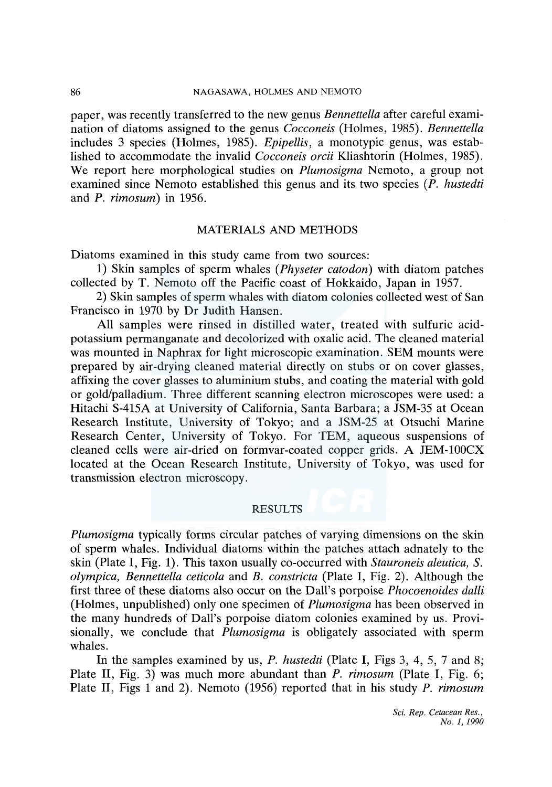## 86 NAGASAWA, HOLMES AND NEMOTO

paper, was recently transferred to the new genus *Bennettella* after careful examination of diatoms assigned to the genus *Cocconeis* (Holmes, 1985). *Bennettella*  includes 3 species (Holmes, 1985). *Epipellis,* a monotypic genus, was established to accommodate the invalid *Cocconeis orcii* Kliashtorin (Holmes, 1985). We report here morphological studies on *Plumosigma* Nemoto, a group not examined since Nemoto established this genus and its two species *(P. hustedti*  and *P. rimosum)* in 1956.

## MATERIALS AND METHODS

Diatoms examined in this study came from two sources:

1) Skin samples of sperm whales *(Physeter catodon)* with diatom patches collected by T. Nemoto off the Pacific coast of Hokkaido, Japan in 1957.

2) Skin samples of sperm whales with diatom colonies collected west of San Francisco in 1970 by Dr Judith Hansen.

All samples were rinsed in distilled water, treated with sulfuric acidpotassium permanganate and decolorized with oxalic acid. The cleaned material was mounted in Naphrax for light microscopic examination. SEM mounts were prepared by air-drying cleaned material directly on stubs or on cover glasses, affixing the cover glasses to aluminium stubs, and coating the material with gold or gold/palladium. Three different scanning electron microscopes were used: a Hitachi S-415A at University of California, Santa Barbara; a JSM-35 at Ocean Research Institute, University of Tokyo; and a JSM-25 at Otsuchi Marine Research Center, University of Tokyo. For TEM, aqueous suspensions of cleaned cells were air-dried on formvar-coated copper grids. A JEM-100CX located at the Ocean Research Institute, University of Tokyo, was used for transmission electron microscopy.

## RESULTS

*Plumosigma* typically forms circular patches of varying dimensions on the skin of sperm whales. Individual diatoms within the patches attach adnately to the skin (Plate I, Fig. 1). This taxon usually co-occurred with *Stauroneis aleutica, S. olympica, Bennettella ceticola* and *B. constricta* (Plate I, Fig. 2). Although the first three of these diatoms also occur on the Dall's porpoise *Phocoenoides dalli*  (Holmes, unpublished) only one specimen of *Plumosigma* has been observed in the many hundreds of Dall's porpoise diatom colonies examined by us. Provisionally, we conclude that *Plumosigma* is obligately associated with sperm whales.

In the samples examined by us, *P. hustedti* (Plate I, Figs 3, 4, 5, 7 and 8; Plate II, Fig. 3) was much more abundant than *P. rimosum* (Plate I, Fig. 6; Plate II, Figs 1 and 2). Nemoto (1956) reported that in his study *P. rimosum*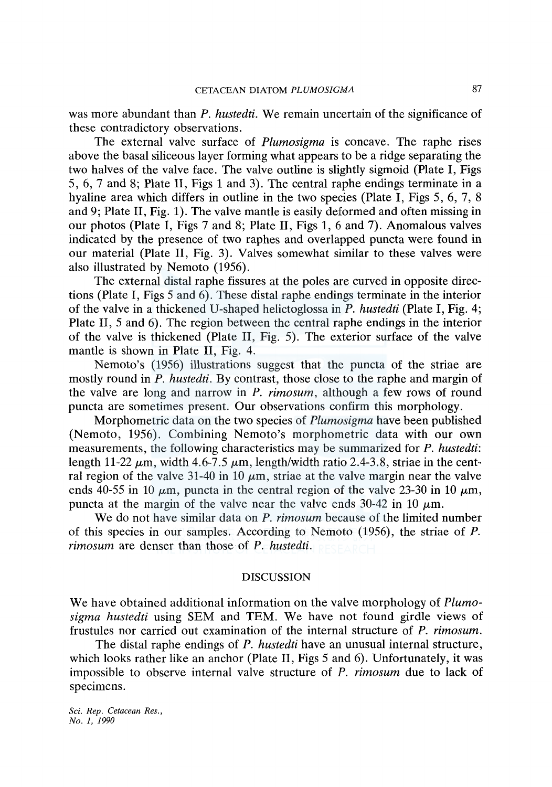was more abundant than *P. hustedti.* We remain uncertain of the significance of these contradictory observations.

The external valve surface of *Plumosigma* is concave. The raphe rises above the basal siliceous layer forming what appears to be a ridge separating the two halves of the valve face. The valve outline is slightly sigmoid (Plate I, Figs 5, 6, 7 and 8; Plate II, Figs 1 and 3). The central raphe endings terminate in a hyaline area which differs in outline in the two species (Plate I, Figs 5, 6, 7, 8) and 9; Plate II, Fig. 1). The valve mantle is easily deformed and often missing in our photos (Plate I, Figs 7 and 8; Plate II, Figs 1, 6 and 7). Anomalous valves indicated by the presence of two raphes and overlapped puncta were found in our material (Plate II, Fig. 3). Valves somewhat similar to these valves were also illustrated by Nemoto (1956).

The external distal raphe fissures at the poles are curved in opposite directions (Plate I, Figs 5 and 6). These distal raphe endings terminate in the interior of the valve in a thickened U-shaped helictoglossa in *P. hustedti* (Plate I, Fig. 4; Plate II, 5 and 6). The region between the central raphe endings in the interior of the valve is thickened (Plate II, Fig. 5). The exterior surface of the valve mantle is shown in Plate II, Fig. 4.

Nemoto's (1956) illustrations suggest that the puncta of the striae are mostly round in *P. hustedti.* By contrast, those close to the raphe and margin of the valve are long and narrow in *P. rimosum,* although a few rows of round puncta are sometimes present. Our observations confirm this morphology.

Morphometric data on the two species of *Plumosigma* have been published (Nemoto, 1956). Combining Nemoto's morphometric data with our own measurements, the following characteristics may be summarized for *P. hustedti:*  length 11-22  $\mu$ m, width 4.6-7.5  $\mu$ m, length/width ratio 2.4-3.8, striae in the central region of the valve 31-40 in 10  $\mu$ m, striae at the valve margin near the valve ends 40-55 in 10  $\mu$ m, puncta in the central region of the valve 23-30 in 10  $\mu$ m, puncta at the margin of the valve near the valve ends 30-42 in 10  $\mu$ m.

We do not have similar data on *P. rimosum* because of the limited number of this species in our samples. According to Nemoto (1956), the striae of *P. rimosum* are denser than those of *P. hustedti.* 

#### DISCUSSION

We have obtained additional information on the valve morphology of *Plumosigma hustedti* using SEM and TEM. We have not found girdle views of frustules nor carried out examination of the internal structure of *P. rimosum.* 

The distal raphe endings of *P. hustedti* have an unusual internal structure, which looks rather like an anchor (Plate II, Figs 5 and 6). Unfortunately, it was impossible to observe internal valve structure of *P. rimosum* due to lack of specimens.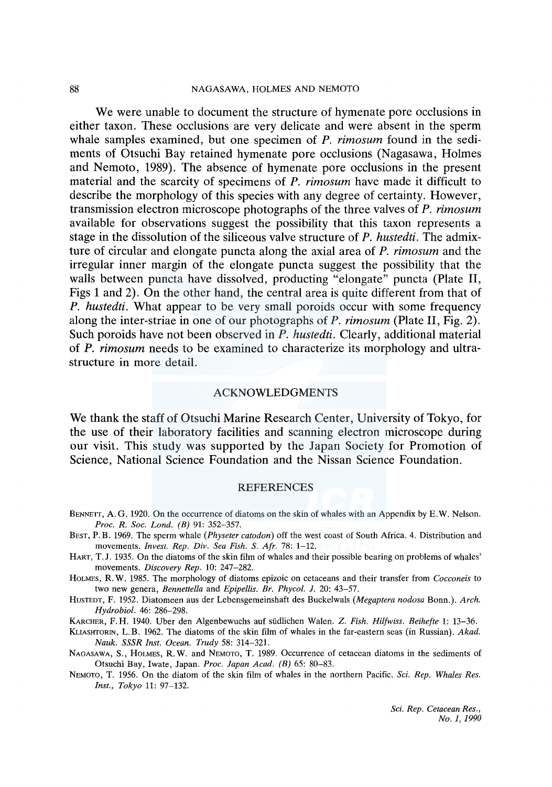## 88 NAGASAWA, HOLMES AND NEMOTO

We were unable to document the structure of hymenate pore occlusions in either taxon. These occlusions are very delicate and were absent in the sperm whale samples examined, but one specimen of *P. rimosum* found in the sediments of Otsuchi Bay retained hymenate pore occlusions (Nagasawa, Holmes and Nemoto, 1989). The absence of hymenate pore occlusions in the present material and the scarcity of specimens of *P. rimosum* have made it difficult to describe the morphology of this species with any degree of certainty. However, transmission electron microscope photographs of the three valves of *P. rimosum*  available for observations suggest the possibility that this taxon represents a stage in the dissolution of the siliceous valve structure of *P. hustedti.* The admixture of circular and elongate puncta along the axial area of *P. rimosum* and the irregular inner margin of the elongate puncta suggest the possibility that the walls between puncta have dissolved, producting "elongate" puncta (Plate II, Figs 1 and 2). On the other hand, the central area is quite different from that of *P. hustedti.* What appear to be very small poroids occur with some frequency along the inter-striae in one of our photographs of *P. rimosum* (Plate II, Fig. 2). Such poroids have not been observed in *P. hustedti.* Clearly, additional material of *P. rimosum* needs to be examined to characterize its morphology and ultrastructure in more detail.

## ACKNOWLEDGMENTS

We thank the staff of Otsuchi Marine Research Center, University of Tokyo, for the use of their laboratory facilities and scanning electron microscope during our visit. This study was supported by the Japan Society for Promotion of Science, National Science Foundation and the Nissan Science Foundation.

## REFERENCES

- BENNETT, A. G. 1920. On the occurrence of diatoms on the skin of whales with an Appendix by E.W. Nelson. *Proc. R. Soc. Land. (B)* 91: 352-357.
- BEST, P. B. 1969. The sperm whale *(Physeter catodon)* off the west coast of South Africa. 4. Distribution and movements. *Invest. Rep. Div. Sea Fish.* S. *Afr.* 78: 1-12.
- HART, T.J. 1935. On the diatoms of the skin film of whales and their possible bearing on problems of whales' movements. *Discovery Rep.* 10: 247-282.
- HoLMES, R. W. 1985. The morphology of diatoms epizoic on cetaceans and their transfer from *Cocconeis* to two new genera, *Bennettella* and *Epipellis. Br. Phycol. J.* 20: 43-57.
- HusTEDT, F. 1952. Diatomeen aus der Lebensgemeinshaft des Buckelwals *(Megaptera nodosa* Bonn.). *Arch. Hydrobiol.* 46: 286-298.
- KARCHER, F. H. 1940. Uber den Algenbewuchs auf siidlichen Walen. Z. *Fish. Hilfwiss. Beihefte* l: 13-36.
- KLIASHTORIN, L.B. 1962. The diatoms of the skin film of whales in the far-eastern seas (in Russian). *Akad. Nauk. SSSR Inst. Ocean. Trudy* 58: 314-321.
- NAGASAWA, S., HOLMES, R. W. and NEMOTO, T. 1989. Occurrence of cetacean diatoms in the sediments of Otsuchi Bay, Iwate, Japan. *Proc. Japan Acad. (B)* 65: 80-83.
- NEMOTO, T. 1956. On the diatom of the skin film of whales in the northern Pacific. *Sci. Rep. Whales Res. Inst., Tokyo* 11: 97-132.

*Sci. Rep. Cetacean Res., No. 1, 1990*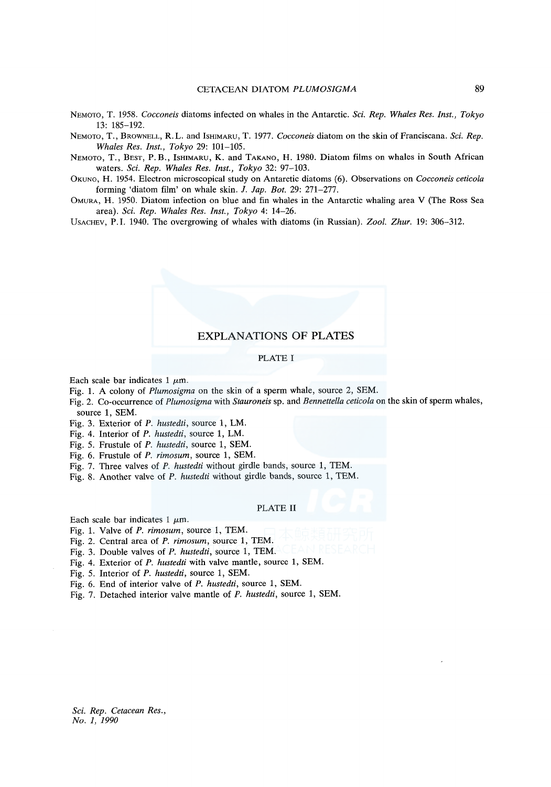- NEMOTO, T. 1958. *Cocconeis* diatoms infected on whales in the Antarctic. *Sci. Rep. Whales Res. Inst., Tokyo*  13: 185-192.
- NEMOTO, T., BROWNELL, R. L. and IsHIMARU, T. 1977. *Cocconeis* diatom on the skin of Franciscana. *Sci. Rep. Whales Res. Inst., Tokyo* 29: 101-105.
- NEMOTO, T., BEST, P.B., IsHIMARU, K. and TAKANO, H. 1980. Diatom films on whales in South African waters. *Sci. Rep. Whales Res. Inst., Tokyo* 32: 97-103.
- OKUNO, H. 1954. Electron microscopical study on Antarctic diatoms (6). Observations on *Cocconeis ceticola*  forming 'diatom film' on whale skin. J. *lap. Bot.* 29: 271-277.
- OMURA, H. 1950. Diatom infection on blue and fin whales in the Antarctic whaling area V (The Ross Sea area). *Sci. Rep. Whales Res. Inst., Tokyo* 4: 14-26.

UsACHEV, P.I. 1940. The overgrowing of whales with diatoms (in Russian). *Zoo[. Zhur.* 19: 306-312.

## EXPLANATIONS OF PLATES

#### PLATE I

Each scale bar indicates 1  $\mu$ m.

- Fig. 1. A colony of *Plumosigma* on the skin of a sperm whale, source 2, SEM.
- Fig. 2. Co-occurrence of *Plumosigma* with *Stauroneis* sp. and *Bennettella ceticola* on the skin of sperm whales, source 1, SEM.
- Fig. 3. Exterior of *P. hustedti,* source 1, LM.
- Fig. 4. Interior of *P. hustedti,* source 1, LM.
- Fig. 5. Frustule of *P. hustedti,* source 1, SEM.
- Fig. 6. Frustule of *P. rimosum,* source 1, SEM.
- Fig. 7. Three valves of *P. hustedti* without girdle bands, source 1, TEM.
- Fig. 8. Another valve of *P. hustedti* without girdle bands, source 1, TEM.

#### PLATE II

Each scale bar indicates 1  $\mu$ m.

- Fig. 1. Valve of *P. rimosum,* source 1, TEM.
- Fig. 2. Central area of *P. rimosum,* source 1, TEM.
- Fig. 3. Double valves of *P. hustedti,* source 1, TEM.
- Fig. 4. Exterior of *P. hustedti* with valve mantle, source 1, SEM.
- Fig. 5. Interior of *P. hustedti,* source 1, SEM.
- Fig. 6. End of interior valve of *P. hustedti,* source 1, SEM.
- Fig. 7. Detached interior valve mantle of *P. hustedti,* source 1, SEM.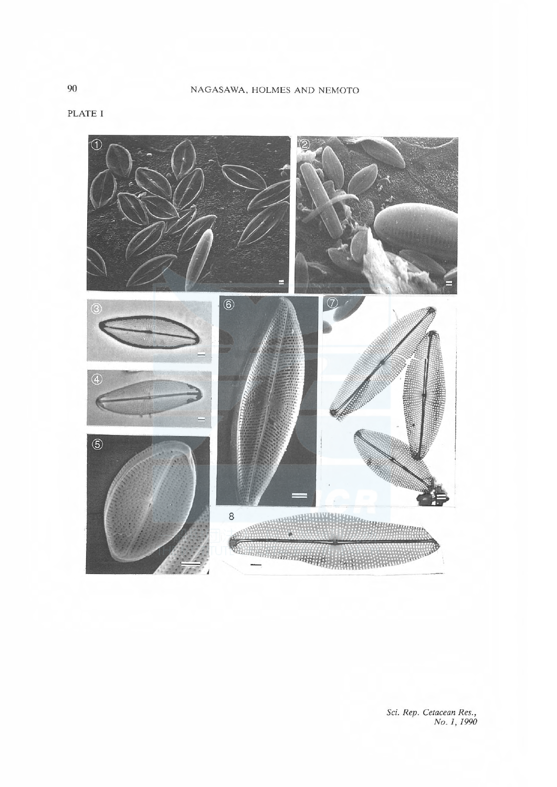PLATE I



Sci. Rep. Cetacean Res., No. 1, 1990

90